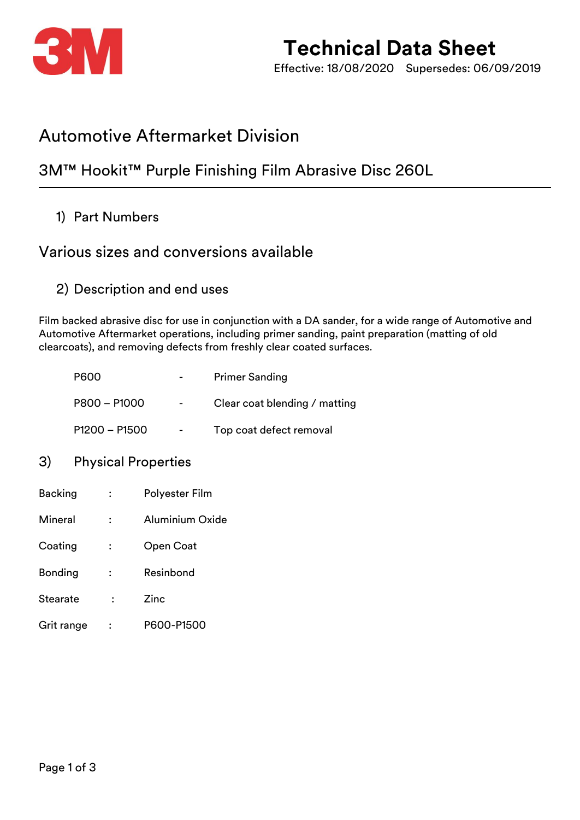

# **Technical Data Sheet**

Effective: 18/08/2020 Supersedes: 06/09/2019

## Automotive Aftermarket Division

### 3M™ Hookit™ Purple Finishing Film Abrasive Disc 260L

1) Part Numbers

### Various sizes and conversions available

2) Description and end uses

Film backed abrasive disc for use in conjunction with a DA sander, for a wide range of Automotive and Automotive Aftermarket operations, including primer sanding, paint preparation (matting of old clearcoats), and removing defects from freshly clear coated surfaces.

| <b>P600</b>     | $\overline{\phantom{0}}$ | <b>Primer Sanding</b>         |
|-----------------|--------------------------|-------------------------------|
| P800 - P1000    | $\overline{\phantom{a}}$ | Clear coat blending / matting |
| $P1200 - P1500$ | -                        | Top coat defect removal       |

#### 3) Physical Properties

| <b>Backing</b>  |                | Polyester Film  |  |
|-----------------|----------------|-----------------|--|
| Mineral         | $\ddot{\cdot}$ | Aluminium Oxide |  |
| Coating         | ፡              | Open Coat       |  |
| Bonding         | :              | Resinbond       |  |
| <b>Stearate</b> |                | Zinc            |  |
| Grit range      |                | P600-P1500      |  |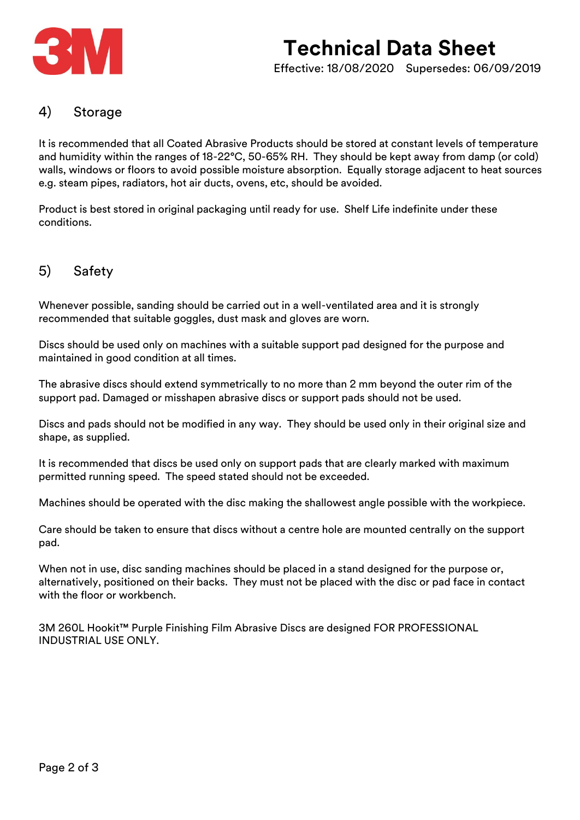

## **Technical Data Sheet** Effective: 18/08/2020 Supersedes: 06/09/2019

#### 4) Storage

It is recommended that all Coated Abrasive Products should be stored at constant levels of temperature and humidity within the ranges of 18-22°C, 50-65% RH. They should be kept away from damp (or cold) walls, windows or floors to avoid possible moisture absorption. Equally storage adjacent to heat sources e.g. steam pipes, radiators, hot air ducts, ovens, etc, should be avoided.

Product is best stored in original packaging until ready for use. Shelf Life indefinite under these conditions.

#### 5) Safety

Whenever possible, sanding should be carried out in a well-ventilated area and it is strongly recommended that suitable goggles, dust mask and gloves are worn.

Discs should be used only on machines with a suitable support pad designed for the purpose and maintained in good condition at all times.

The abrasive discs should extend symmetrically to no more than 2 mm beyond the outer rim of the support pad. Damaged or misshapen abrasive discs or support pads should not be used.

Discs and pads should not be modified in any way. They should be used only in their original size and shape, as supplied.

It is recommended that discs be used only on support pads that are clearly marked with maximum permitted running speed. The speed stated should not be exceeded.

Machines should be operated with the disc making the shallowest angle possible with the workpiece.

Care should be taken to ensure that discs without a centre hole are mounted centrally on the support pad.

When not in use, disc sanding machines should be placed in a stand designed for the purpose or, alternatively, positioned on their backs. They must not be placed with the disc or pad face in contact with the floor or workbench.

3M 260L Hookit™ Purple Finishing Film Abrasive Discs are designed FOR PROFESSIONAL INDUSTRIAL USE ONLY.